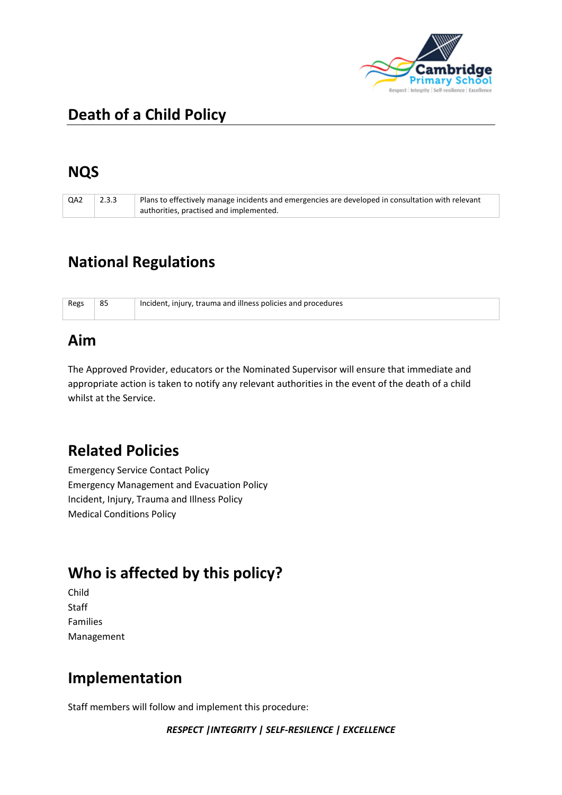

# **Death of a Child Policy**

## **NQS**

| QA2 | 2.3.3 | Plans to effectively manage incidents and emergencies are developed in consultation with relevant |
|-----|-------|---------------------------------------------------------------------------------------------------|
|     |       | authorities, practised and implemented.                                                           |

# **National Regulations**

| Regs | 85 | Incident, injury, trauma and illness policies and procedures |
|------|----|--------------------------------------------------------------|
|      |    |                                                              |

#### **Aim**

The Approved Provider, educators or the Nominated Supervisor will ensure that immediate and appropriate action is taken to notify any relevant authorities in the event of the death of a child whilst at the Service.

### **Related Policies**

Emergency Service Contact Policy Emergency Management and Evacuation Policy Incident, Injury, Trauma and Illness Policy Medical Conditions Policy

# **Who is affected by this policy?**

Child Staff Families Management

## **Implementation**

Staff members will follow and implement this procedure: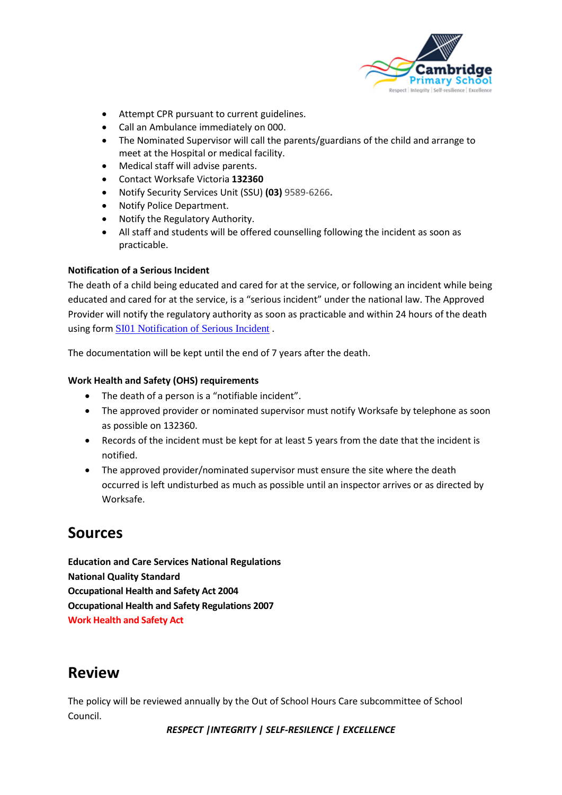

- Attempt CPR pursuant to current guidelines.
- Call an Ambulance immediately on 000.
- The Nominated Supervisor will call the parents/guardians of the child and arrange to meet at the Hospital or medical facility.
- Medical staff will advise parents.
- Contact Worksafe Victoria **132360**
- Notify Security Services Unit (SSU) **(03)** 9589-6266**.**
- Notify Police Department.
- Notify the Regulatory Authority.
- All staff and students will be offered counselling following the incident as soon as practicable.

#### **Notification of a Serious Incident**

The death of a child being educated and cared for at the service, or following an incident while being educated and cared for at the service, is a "serious incident" under the national law. The Approved Provider will notify the regulatory authority as soon as practicable and within 24 hours of the death using form [SI01 Notification of Serious Incident](http://acecqa.gov.au/application-forms/) .

The documentation will be kept until the end of 7 years after the death.

#### **Work Health and Safety (OHS) requirements**

- The death of a person is a "notifiable incident".
- The approved provider or nominated supervisor must notify Worksafe by telephone as soon as possible on 132360.
- Records of the incident must be kept for at least 5 years from the date that the incident is notified.
- The approved provider/nominated supervisor must ensure the site where the death occurred is left undisturbed as much as possible until an inspector arrives or as directed by Worksafe.

#### **Sources**

**Education and Care Services National Regulations National Quality Standard Occupational Health and Safety Act 2004 Occupational Health and Safety Regulations 2007 Work Health and Safety Act**

### **Review**

The policy will be reviewed annually by the Out of School Hours Care subcommittee of School Council.

*RESPECT |INTEGRITY | SELF-RESILENCE | EXCELLENCE*